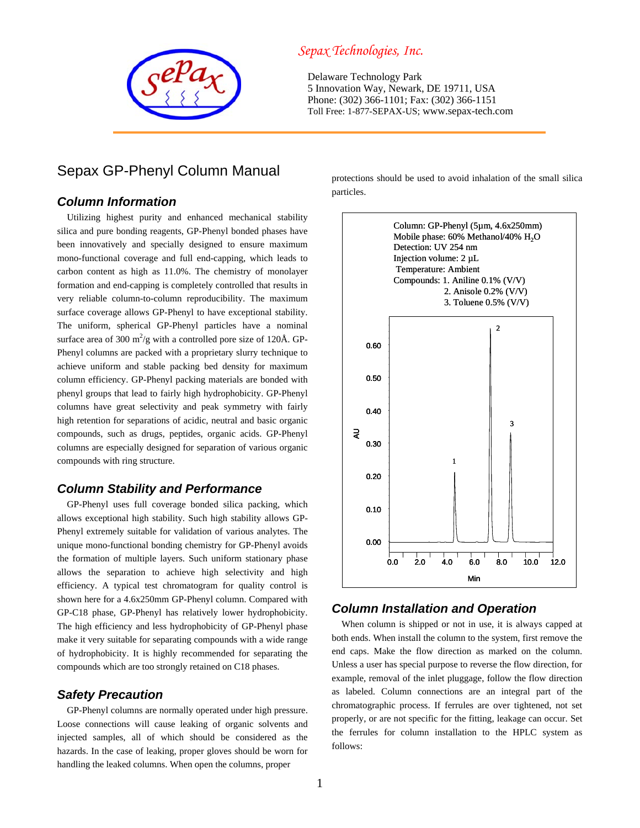

# Sepax GP-Phenyl Column Manual

## *Column Information*

Utilizing highest purity and enhanced mechanical stability silica and pure bonding reagents, GP-Phenyl bonded phases have been innovatively and specially designed to ensure maximum mono-functional coverage and full end-capping, which leads to carbon content as high as 11.0%. The chemistry of monolayer formation and end-capping is completely controlled that results in very reliable column-to-column reproducibility. The maximum surface coverage allows GP-Phenyl to have exceptional stability. The uniform, spherical GP-Phenyl particles have a nominal surface area of 300  $\text{m}^2/\text{g}$  with a controlled pore size of 120Å. GP-Phenyl columns are packed with a proprietary slurry technique to achieve uniform and stable packing bed density for maximum column efficiency. GP-Phenyl packing materials are bonded with phenyl groups that lead to fairly high hydrophobicity. GP-Phenyl columns have great selectivity and peak symmetry with fairly high retention for separations of acidic, neutral and basic organic compounds, such as drugs, peptides, organic acids. GP-Phenyl columns are especially designed for separation of various organic compounds with ring structure.

## *Column Stability and Performance*

GP-Phenyl uses full coverage bonded silica packing, which allows exceptional high stability. Such high stability allows GP-Phenyl extremely suitable for validation of various analytes. The unique mono-functional bonding chemistry for GP-Phenyl avoids the formation of multiple layers. Such uniform stationary phase allows the separation to achieve high selectivity and high efficiency. A typical test chromatogram for quality control is shown here for a 4.6x250mm GP-Phenyl column. Compared with GP-C18 phase, GP-Phenyl has relatively lower hydrophobicity. The high efficiency and less hydrophobicity of GP-Phenyl phase make it very suitable for separating compounds with a wide range of hydrophobicity. It is highly recommended for separating the compounds which are too strongly retained on C18 phases.

## *Safety Precaution*

GP-Phenyl columns are normally operated under high pressure. Loose connections will cause leaking of organic solvents and injected samples, all of which should be considered as the hazards. In the case of leaking, proper gloves should be worn for handling the leaked columns. When open the columns, proper

## *Sepax Technologies, Inc.*

Delaware Technology Park 5 Innovation Way, Newark, DE 19711, USA Phone: (302) 366-1101; Fax: (302) 366-1151 Toll Free: 1-877-SEPAX-US; www.sepax-tech.com

> protections should be used to avoid inhalation of the small silica particles.



## *Column Installation and Operation*

When column is shipped or not in use, it is always capped at both ends. When install the column to the system, first remove the end caps. Make the flow direction as marked on the column. Unless a user has special purpose to reverse the flow direction, for example, removal of the inlet pluggage, follow the flow direction as labeled. Column connections are an integral part of the chromatographic process. If ferrules are over tightened, not set properly, or are not specific for the fitting, leakage can occur. Set the ferrules for column installation to the HPLC system as follows: